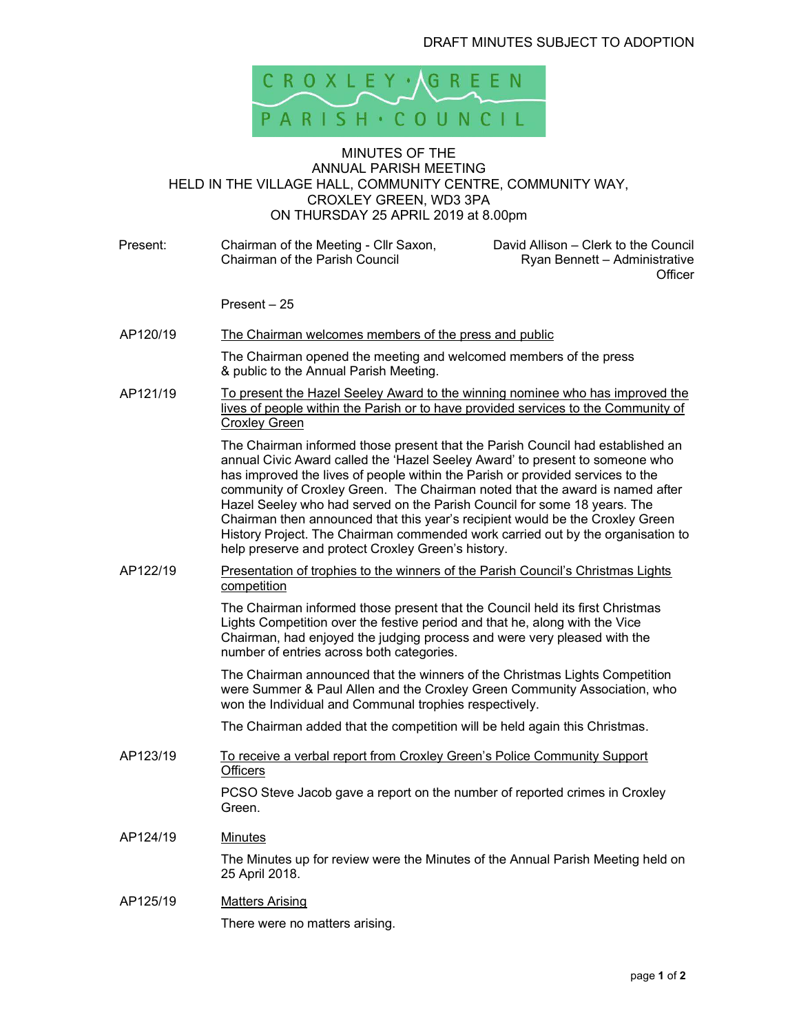

## MINUTES OF THE ANNUAL PARISH MEETING HELD IN THE VILLAGE HALL, COMMUNITY CENTRE, COMMUNITY WAY, CROXLEY GREEN, WD3 3PA ON THURSDAY 25 APRIL 2019 at 8.00pm

Present: Chairman of the Meeting - Cllr Saxon, Chairman of the Parish Council David Allison – Clerk to the Council Ryan Bennett – Administrative **Officer**  Present – 25 AP120/19 The Chairman welcomes members of the press and public The Chairman opened the meeting and welcomed members of the press & public to the Annual Parish Meeting. AP121/19 To present the Hazel Seeley Award to the winning nominee who has improved the lives of people within the Parish or to have provided services to the Community of Croxley Green The Chairman informed those present that the Parish Council had established an annual Civic Award called the 'Hazel Seeley Award' to present to someone who has improved the lives of people within the Parish or provided services to the community of Croxley Green. The Chairman noted that the award is named after Hazel Seeley who had served on the Parish Council for some 18 years. The Chairman then announced that this year's recipient would be the Croxley Green History Project. The Chairman commended work carried out by the organisation to help preserve and protect Croxley Green's history. AP122/19 Presentation of trophies to the winners of the Parish Council's Christmas Lights competition The Chairman informed those present that the Council held its first Christmas Lights Competition over the festive period and that he, along with the Vice Chairman, had enjoyed the judging process and were very pleased with the number of entries across both categories. The Chairman announced that the winners of the Christmas Lights Competition were Summer & Paul Allen and the Croxley Green Community Association, who won the Individual and Communal trophies respectively. The Chairman added that the competition will be held again this Christmas. AP123/19 To receive a verbal report from Croxley Green's Police Community Support **Officers** PCSO Steve Jacob gave a report on the number of reported crimes in Croxley Green. AP124/19 Minutes The Minutes up for review were the Minutes of the Annual Parish Meeting held on 25 April 2018. AP125/19 Matters Arising

There were no matters arising.